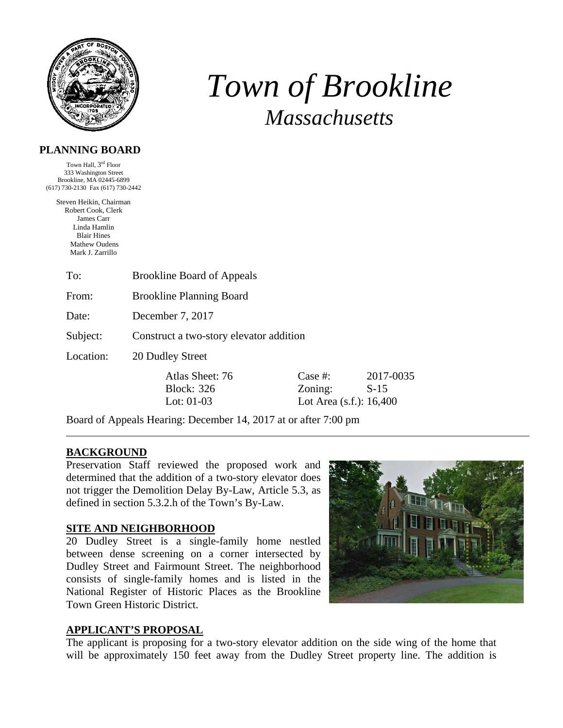

# *Town of Brookline Massachusetts*

### **PLANNING BOARD**

Town Hall, 3<sup>rd</sup> Floor 333 Washington Street Brookline, MA 02445-6899 (617) 730-2130 Fax (617) 730-2442

> Steven Heikin, Chairman Robert Cook, Clerk James Carr Linda Hamlin Blair Hines Mathew Oudens Mark J. Zarrillo

> > To: Brookline Board of Appeals

From: Brookline Planning Board

Date: December 7, 2017

Subject: Construct a two-story elevator addition

Location: 20 Dudley Street

Atlas Sheet: 76 Case #: 2017-0035 Block: 326 Zoning: S-15 Lot: 01-03 Lot Area (s.f.): 16,400

Board of Appeals Hearing: December 14, 2017 at or after 7:00 pm

#### **BACKGROUND**

Preservation Staff reviewed the proposed work and determined that the addition of a two-story elevator does not trigger the Demolition Delay By-Law, Article 5.3, as defined in section 5.3.2.h of the Town's By-Law.

#### **SITE AND NEIGHBORHOOD**

20 Dudley Street is a single-family home nestled between dense screening on a corner intersected by Dudley Street and Fairmount Street. The neighborhood consists of single-family homes and is listed in the National Register of Historic Places as the Brookline Town Green Historic District.



#### **APPLICANT'S PROPOSAL**

The applicant is proposing for a two-story elevator addition on the side wing of the home that will be approximately 150 feet away from the Dudley Street property line. The addition is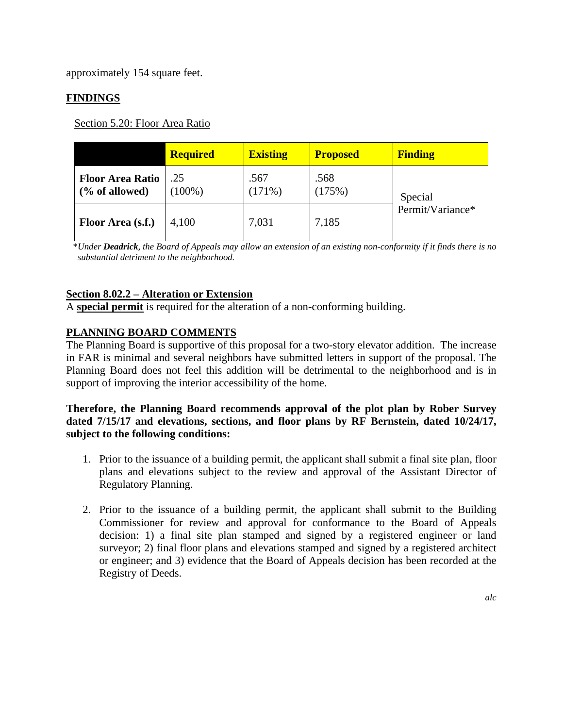approximately 154 square feet.

# **FINDINGS**

Section 5.20: Floor Area Ratio

|                                           | <b>Required</b>  | <b>Existing</b>   | <b>Proposed</b> | <b>Finding</b>              |
|-------------------------------------------|------------------|-------------------|-----------------|-----------------------------|
| <b>Floor Area Ratio</b><br>(% of allowed) | .25<br>$(100\%)$ | .567<br>$(171\%)$ | .568<br>(175%)  | Special<br>Permit/Variance* |
| Floor Area (s.f.)                         | 4,100            | 7,031             | 7,185           |                             |

 \**Under Deadrick, the Board of Appeals may allow an extension of an existing non-conformity if it finds there is no substantial detriment to the neighborhood.* 

# **Section 8.02.2 – Alteration or Extension**

A **special permit** is required for the alteration of a non-conforming building.

# **PLANNING BOARD COMMENTS**

The Planning Board is supportive of this proposal for a two-story elevator addition. The increase in FAR is minimal and several neighbors have submitted letters in support of the proposal. The Planning Board does not feel this addition will be detrimental to the neighborhood and is in support of improving the interior accessibility of the home.

### **Therefore, the Planning Board recommends approval of the plot plan by Rober Survey dated 7/15/17 and elevations, sections, and floor plans by RF Bernstein, dated 10/24/17, subject to the following conditions:**

- 1. Prior to the issuance of a building permit, the applicant shall submit a final site plan, floor plans and elevations subject to the review and approval of the Assistant Director of Regulatory Planning.
- 2. Prior to the issuance of a building permit, the applicant shall submit to the Building Commissioner for review and approval for conformance to the Board of Appeals decision: 1) a final site plan stamped and signed by a registered engineer or land surveyor; 2) final floor plans and elevations stamped and signed by a registered architect or engineer; and 3) evidence that the Board of Appeals decision has been recorded at the Registry of Deeds.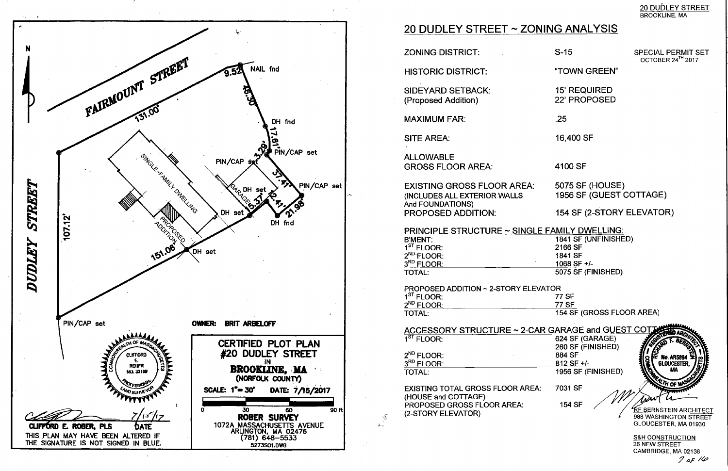

# 20 DUDLEY STREET ~ ZONING ANALYSIS

**ZONING DISTRICT:** 

**HISTORIC DISTRICT:** 

**SIDEYARD SETBACK:** (Proposed Addition)

**MAXIMUM FAR:** 

**SITE AREA:** 

**ALLOWABLE GROSS FLOOR AREA:** 

**EXISTING GROSS FLOOR AREA:** (INCLUDES ALL EXTERIOR WALLS) And FOUNDATIONS) **PROPOSED ADDITION:** 

**PRINCIPLE STRUCTURE ~ SINGLE FAMILY DWELLING:** 1841 SF (UNFINISHED) **B'MENT:**  $1<sup>ST</sup>$  FLOOR: 2166 SF  $2^{ND}$  FLOOR: 1841 SF 3RD FLOOR: 1068 SF +/-**TOTAL:** 5075 SF (FINISHED)

**PROPOSED ADDITION ~ 2-STORY ELEVATOR** 1<sup>ST</sup> FLOOR:  $2^{ND}$  FLOOR: **TOTAL:** 

ACCESSORY STRUCTURE ~ 2-CAR GARAGE and GUEST COTJ  $1<sup>ST</sup>$  FLOOR: 624 SF (GARAGE) 260 SF (FINISHED)  $2^{ND}$  FLOOR: 884 SF **No. AR589** 3RD FLOOR: 812 SF +/-**GLOUCESTER.** 1956 SF (FINISHED) **TOTAL: EXISTING TOTAL GROSS FLOOR AREA:** 7031 SF (HOUSE and COTTAGE) PROPOSED GROSS FLOOR AREA: 154 SF KF BERNSTEIN <u>ARCHITECT</u> (2-STORY ELEVATOR)

 $\mathcal{L}^{\mathcal{C}}_{\mathcal{A}}$ 

988 WASHINGTON STREET

20 DUDLEY STREET **BROOKLINE, MA** 

 $S-15$ 

**SPECIAL PERMIT SET** OCTOBER 24<sup>TH</sup> 2017

"TOWN GREEN"

**15' REQUIRED** 22' PROPOSED

 $.25$ 

16,400 SF

4100 SF

**5075 SF (HOUSE)** 1956 SF (GUEST COTTAGE)

154 SF (2-STORY ELEVATOR)

**77 SF 77 SF** 154 SF (GROSS FLOOR AREA)

> **S&H CONSTRUCTION** 26 NEW STREET CAMBRIDGE, MA 02138  $2$  of  $14$

GLOUCESTER, MA 01930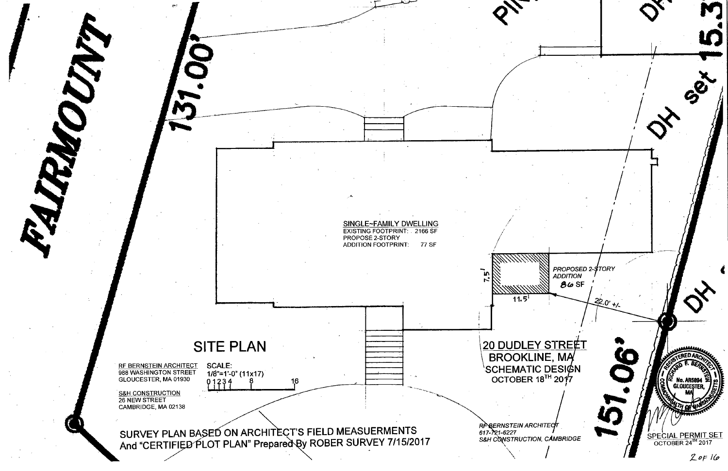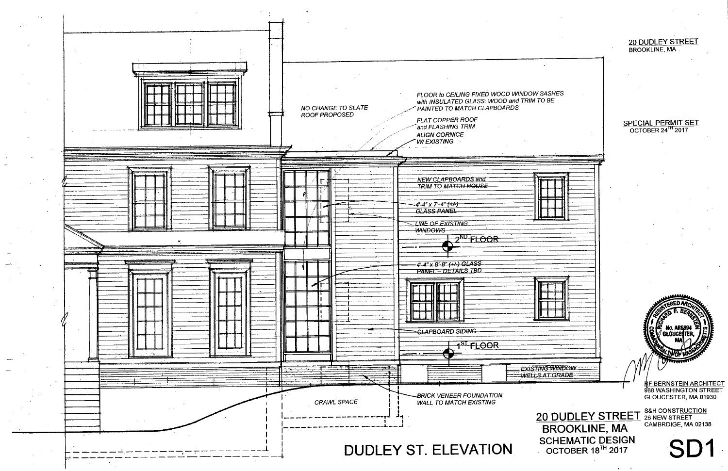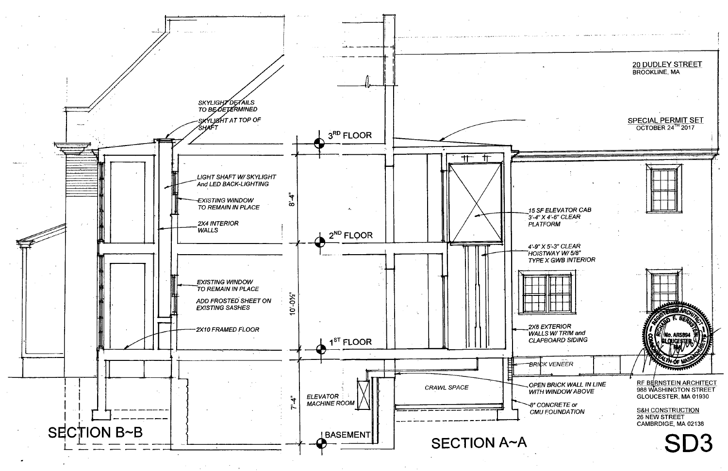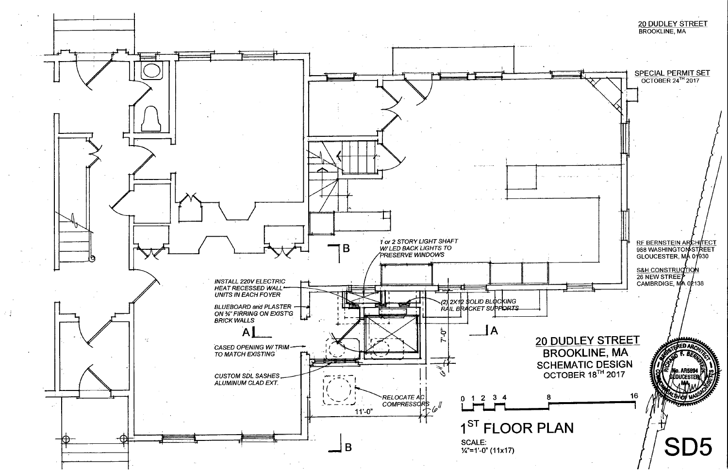